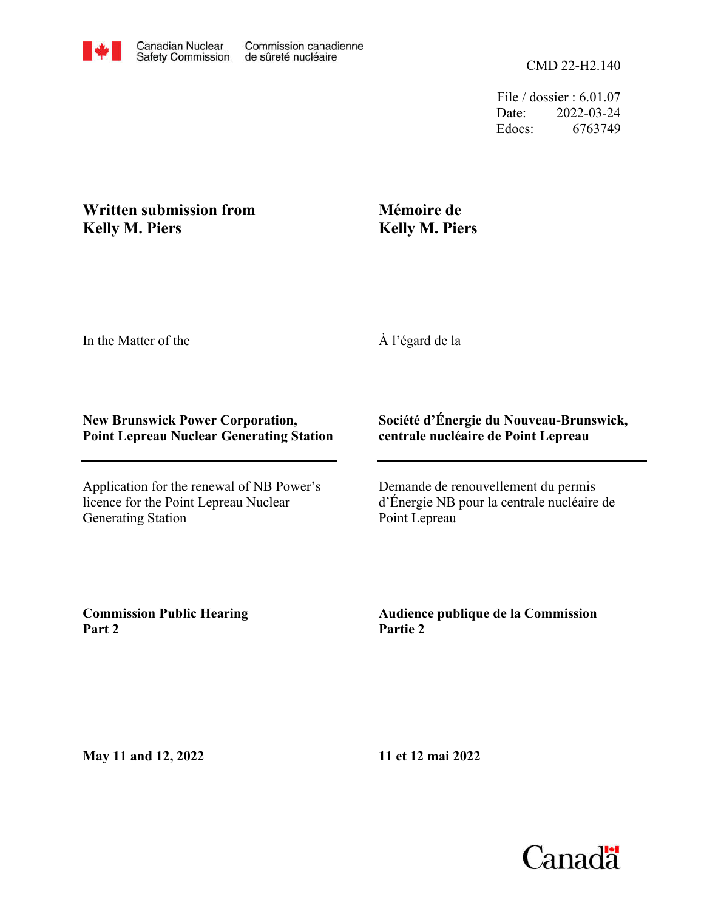File / dossier : 6.01.07 Date: 2022-03-24 Edocs: 6763749

## **Written submission from Kelly M. Piers**

## **Mémoire de Kelly M. Piers**

In the Matter of the

À l'égard de la

## **New Brunswick Power Corporation, Point Lepreau Nuclear Generating Station**

Application for the renewal of NB Power's licence for the Point Lepreau Nuclear Generating Station

## **Société d'Énergie du Nouveau-Brunswick, centrale nucléaire de Point Lepreau**

Demande de renouvellement du permis d'Énergie NB pour la centrale nucléaire de Point Lepreau

**Commission Public Hearing Part 2**

**Audience publique de la Commission Partie 2**

**May 11 and 12, 2022**

**11 et 12 mai 2022**